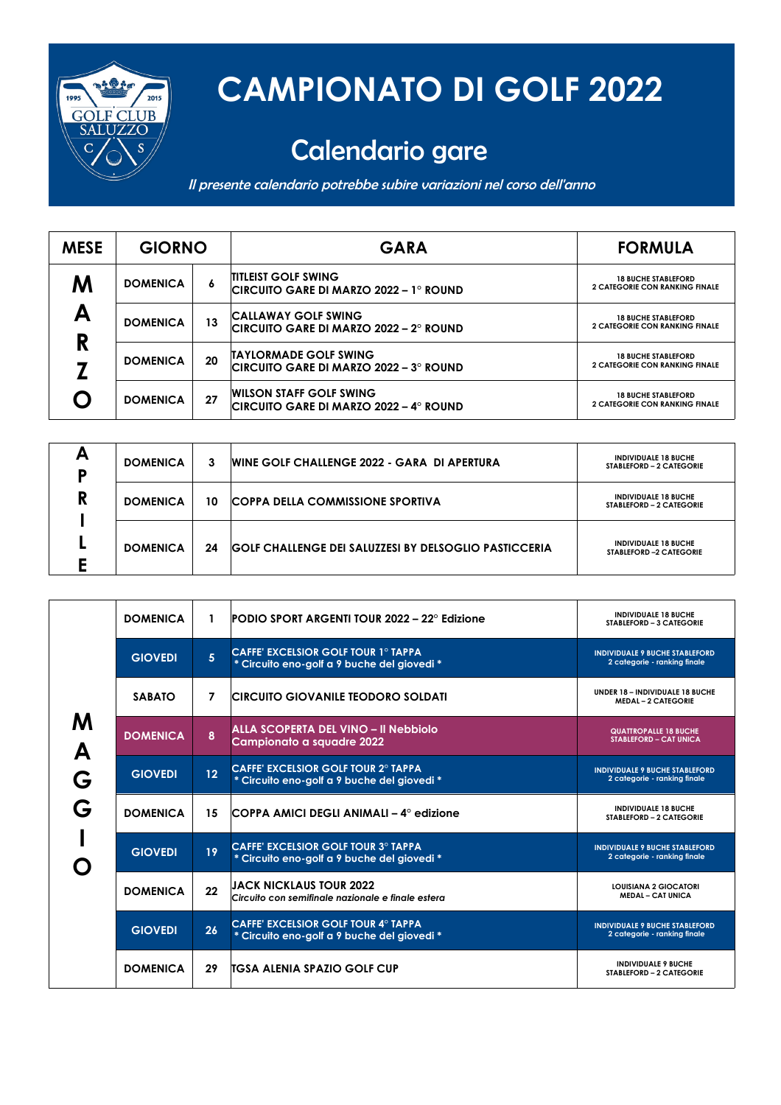

## **CAMPIONATO DI GOLF 2022**

## Calendario gare

Il presente calendario potrebbe subire variazioni nel corso dell'anno

| <b>MESE</b> | <b>GIORNO</b>   |    | <b>GARA</b>                                                              | <b>FORMULA</b>                                                      |
|-------------|-----------------|----|--------------------------------------------------------------------------|---------------------------------------------------------------------|
| Μ           | <b>DOMENICA</b> | 6  | <b>TITLEIST GOLF SWING</b><br>CIRCUITO GARE DI MARZO 2022 – 1º ROUND     | <b>18 BUCHE STABLEFORD</b><br><b>2 CATEGORIE CON RANKING FINALE</b> |
| А           | <b>DOMENICA</b> | 13 | <b>CALLAWAY GOLF SWING</b><br>CIRCUITO GARE DI MARZO 2022 – 2º ROUND     | <b>18 BUCHE STABLEFORD</b><br><b>2 CATEGORIE CON RANKING FINALE</b> |
| R           | <b>DOMENICA</b> | 20 | <b>TAYLORMADE GOLF SWING</b><br>CIRCUITO GARE DI MARZO 2022 – 3º ROUND   | <b>18 BUCHE STABLEFORD</b><br><b>2 CATEGORIE CON RANKING FINALE</b> |
|             | <b>DOMENICA</b> | 27 | <b>WILSON STAFF GOLF SWING</b><br>CIRCUITO GARE DI MARZO 2022 – 4º ROUND | <b>18 BUCHE STABLEFORD</b><br><b>2 CATEGORIE CON RANKING FINALE</b> |

| А<br>D | <b>DOMENICA</b> | 3  | <b>WINE GOLF CHALLENGE 2022 - GARA DI APERTURA</b>           | <b>INDIVIDUALE 18 BUCHE</b><br>STABLEFORD - 2 CATEGORIE |
|--------|-----------------|----|--------------------------------------------------------------|---------------------------------------------------------|
| R      | <b>DOMENICA</b> | 10 | <b>COPPA DELLA COMMISSIONE SPORTIVA</b>                      | <b>INDIVIDUALE 18 BUCHE</b><br>STABLEFORD - 2 CATEGORIE |
|        | <b>DOMENICA</b> | 24 | <b>GOLF CHALLENGE DEI SALUZZESI BY DELSOGLIO PASTICCERIA</b> | <b>INDIVIDUALE 18 BUCHE</b><br>STABLEFORD -2 CATEGORIE  |

| M<br>A<br>G<br>G | <b>DOMENICA</b> | 1  | <b>PODIO SPORT ARGENTI TOUR 2022 - 22° Edizione</b>                                       | <b>INDIVIDUALE 18 BUCHE</b><br><b>STABLEFORD - 3 CATEGORIE</b>        |
|------------------|-----------------|----|-------------------------------------------------------------------------------------------|-----------------------------------------------------------------------|
|                  | <b>GIOVEDI</b>  | 5  | <b>CAFFE' EXCELSIOR GOLF TOUR 1º TAPPA</b><br>* Circuito eno-golf a 9 buche del giovedi * | <b>INDIVIDUALE 9 BUCHE STABLEFORD</b><br>2 categorie - ranking finale |
|                  | <b>SABATO</b>   | 7  | <b>CIRCUITO GIOVANILE TEODORO SOLDATI</b>                                                 | <b>UNDER 18 - INDIVIDUALE 18 BUCHE</b><br><b>MEDAL - 2 CATEGORIE</b>  |
|                  | <b>DOMENICA</b> | 8  | ALLA SCOPERTA DEL VINO - Il Nebbiolo<br>Campionato a squadre 2022                         | <b>QUATTROPALLE 18 BUCHE</b><br><b>STABLEFORD - CAT UNICA</b>         |
|                  | <b>GIOVEDI</b>  | 12 | <b>CAFFE' EXCELSIOR GOLF TOUR 2° TAPPA</b><br>* Circuito eno-golf a 9 buche del giovedi * | <b>INDIVIDUALE 9 BUCHE STABLEFORD</b><br>2 categorie - ranking finale |
|                  | <b>DOMENICA</b> | 15 | COPPA AMICI DEGLI ANIMALI – 4° edizione                                                   | <b>INDIVIDUALE 18 BUCHE</b><br><b>STABLEFORD - 2 CATEGORIE</b>        |
|                  | <b>GIOVEDI</b>  | 19 | <b>CAFFE' EXCELSIOR GOLF TOUR 3° TAPPA</b><br>* Circuito eno-golf a 9 buche del giovedi * | <b>INDIVIDUALE 9 BUCHE STABLEFORD</b><br>2 categorie - ranking finale |
|                  | <b>DOMENICA</b> | 22 | <b>JACK NICKLAUS TOUR 2022</b><br>Circuito con semifinale nazionale e finale estera       | <b>LOUISIANA 2 GIOCATORI</b><br><b>MEDAL - CAT UNICA</b>              |
|                  | <b>GIOVEDI</b>  | 26 | <b>CAFFE' EXCELSIOR GOLF TOUR 4° TAPPA</b><br>* Circuito eno-golf a 9 buche del giovedi * | <b>INDIVIDUALE 9 BUCHE STABLEFORD</b><br>2 categorie - ranking finale |
|                  | <b>DOMENICA</b> | 29 | <b>ITGSA ALENIA SPAZIO GOLF CUP</b>                                                       | <b>INDIVIDUALE 9 BUCHE</b><br>STABLEFORD - 2 CATEGORIE                |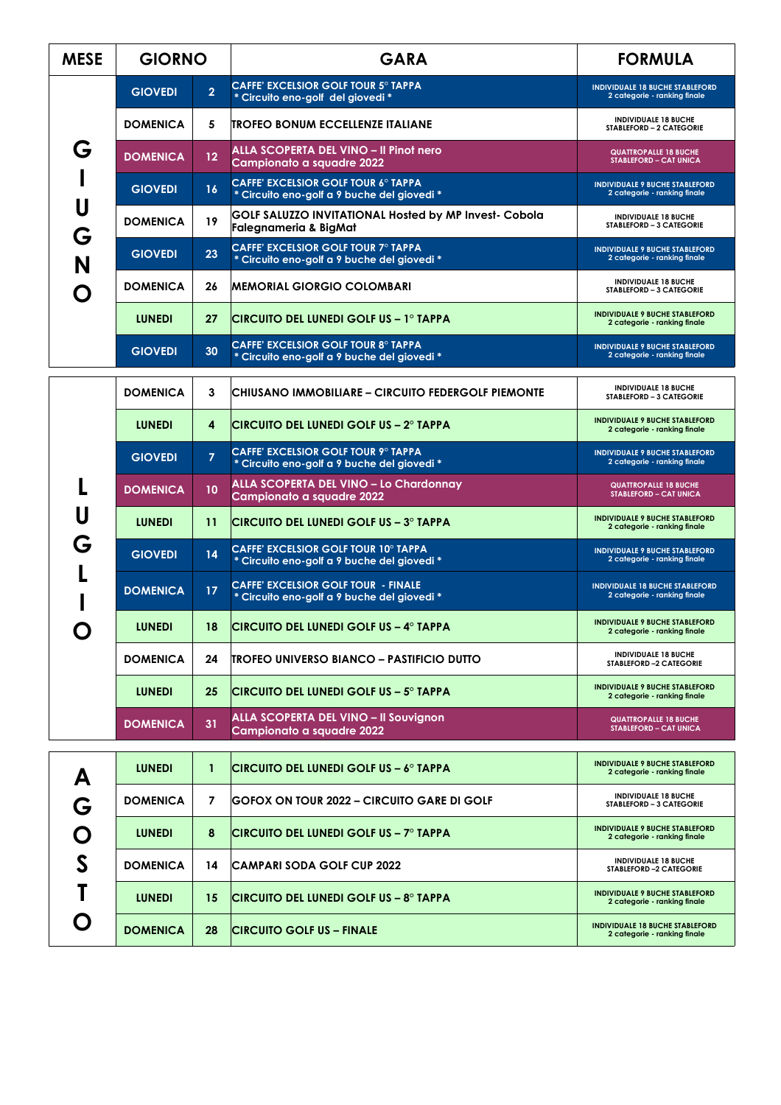| <b>MESE</b>  | <b>GIORNO</b>   |                | <b>GARA</b>                                                                                | <b>FORMULA</b>                                                         |
|--------------|-----------------|----------------|--------------------------------------------------------------------------------------------|------------------------------------------------------------------------|
| G            | <b>GIOVEDI</b>  | $\overline{2}$ | <b>CAFFE' EXCELSIOR GOLF TOUR 5° TAPPA</b><br>* Circuito eno-golf del giovedi *            | <b>INDIVIDUALE 18 BUCHE STABLEFORD</b><br>2 categorie - ranking finale |
|              | <b>DOMENICA</b> | 5              | <b>TROFEO BONUM ECCELLENZE ITALIANE</b>                                                    | <b>INDIVIDUALE 18 BUCHE</b><br>STABLEFORD - 2 CATEGORIE                |
|              | <b>DOMENICA</b> | 12             | ALLA SCOPERTA DEL VINO - Il Pinot nero<br>Campionato a squadre 2022                        | <b>QUATTROPALLE 18 BUCHE</b><br><b>STABLEFORD - CAT UNICA</b>          |
|              | <b>GIOVEDI</b>  | 16             | <b>CAFFE' EXCELSIOR GOLF TOUR 6° TAPPA</b><br>* Circuito eno-golf a 9 buche del giovedi *  | <b>INDIVIDUALE 9 BUCHE STABLEFORD</b><br>2 categorie - ranking finale  |
| U<br>G       | <b>DOMENICA</b> | 19             | GOLF SALUZZO INVITATIONAL Hosted by MP Invest- Cobola<br>Falegnameria & BigMat             | <b>INDIVIDUALE 18 BUCHE</b><br>STABLEFORD - 3 CATEGORIE                |
| N            | <b>GIOVEDI</b>  | 23             | CAFFE' EXCELSIOR GOLF TOUR 7° TAPPA<br>* Circuito eno-golf a 9 buche del giovedi *         | <b>INDIVIDUALE 9 BUCHE STABLEFORD</b><br>2 categorie - ranking finale  |
| n            | <b>DOMENICA</b> | 26             | MEMORIAL GIORGIO COLOMBARI                                                                 | <b>INDIVIDUALE 18 BUCHE</b><br>STABLEFORD - 3 CATEGORIE                |
|              | <b>LUNEDI</b>   | 27             | ICIRCUITO DEL LUNEDI GOLF US – 1º TAPPA                                                    | <b>INDIVIDUALE 9 BUCHE STABLEFORD</b><br>2 categorie - ranking finale  |
|              | <b>GIOVEDI</b>  | 30             | <b>CAFFE' EXCELSIOR GOLF TOUR 8° TAPPA</b><br>* Circuito eno-golf a 9 buche del giovedi *  | <b>INDIVIDUALE 9 BUCHE STABLEFORD</b><br>2 categorie - ranking finale  |
|              | <b>DOMENICA</b> | 3              | CHIUSANO IMMOBILIARE – CIRCUITO FEDERGOLF PIEMONTE                                         | <b>INDIVIDUALE 18 BUCHE</b><br>STABLEFORD - 3 CATEGORIE                |
|              | <b>LUNEDI</b>   | 4              | <b>CIRCUITO DEL LUNEDI GOLF US - 2º TAPPA</b>                                              | <b>INDIVIDUALE 9 BUCHE STABLEFORD</b><br>2 categorie - ranking finale  |
|              | <b>GIOVEDI</b>  | $\overline{7}$ | <b>CAFFE' EXCELSIOR GOLF TOUR 9° TAPPA</b><br>* Circuito eno-golf a 9 buche del giovedi *  | <b>INDIVIDUALE 9 BUCHE STABLEFORD</b><br>2 categorie - ranking finale  |
|              | <b>DOMENICA</b> | 10             | ALLA SCOPERTA DEL VINO - Lo Chardonnay<br>Campionato a squadre 2022                        | <b>QUATTROPALLE 18 BUCHE</b><br><b>STABLEFORD - CAT UNICA</b>          |
| U            | <b>LUNEDI</b>   | 11             | CIRCUITO DEL LUNEDI GOLF US – 3º TAPPA                                                     | <b>INDIVIDUALE 9 BUCHE STABLEFORD</b><br>2 categorie - ranking finale  |
| G            | <b>GIOVEDI</b>  | 14             | <b>CAFFE' EXCELSIOR GOLF TOUR 10° TAPPA</b><br>* Circuito eno-golf a 9 buche del giovedi * | <b>INDIVIDUALE 9 BUCHE STABLEFORD</b><br>2 categorie - ranking finale  |
|              | <b>DOMENICA</b> | 17             | <b>CAFFE' EXCELSIOR GOLF TOUR - FINALE</b><br>* Circuito eno-golf a 9 buche del giovedi *  | <b>INDIVIDUALE 18 BUCHE STABLEFORD</b><br>2 categorie - ranking finale |
|              | <b>LUNEDI</b>   | 18             | CIRCUITO DEL LUNEDI GOLF US – 4º TAPPA                                                     | <b>INDIVIDUALE 9 BUCHE STABLEFORD</b><br>2 categorie - ranking finale  |
|              | <b>DOMENICA</b> | 24             | <b>TROFEO UNIVERSO BIANCO – PASTIFICIO DUTTO</b>                                           | <b>INDIVIDUALE 18 BUCHE</b><br>STABLEFORD -2 CATEGORIE                 |
|              | <b>LUNEDI</b>   | 25             | CIRCUITO DEL LUNEDI GOLF US – 5º TAPPA                                                     | <b>INDIVIDUALE 9 BUCHE STABLEFORD</b><br>2 categorie - ranking finale  |
|              | <b>DOMENICA</b> | 31             | <b>ALLA SCOPERTA DEL VINO - Il Souvignon</b><br>Campionato a squadre 2022                  | <b>QUATTROPALLE 18 BUCHE</b><br><b>STABLEFORD - CAT UNICA</b>          |
|              | <b>LUNEDI</b>   | $\mathbf{1}$   | <b>CIRCUITO DEL LUNEDI GOLF US - 6º TAPPA</b>                                              | <b>INDIVIDUALE 9 BUCHE STABLEFORD</b><br>2 categorie - ranking finale  |
| A<br>G<br>O  | <b>DOMENICA</b> | 7              | <b>GOFOX ON TOUR 2022 - CIRCUITO GARE DI GOLF</b>                                          | <b>INDIVIDUALE 18 BUCHE</b><br>STABLEFORD - 3 CATEGORIE                |
|              | <b>LUNEDI</b>   | 8              | <b>CIRCUITO DEL LUNEDI GOLF US – 7º TAPPA</b>                                              | <b>INDIVIDUALE 9 BUCHE STABLEFORD</b><br>2 categorie - ranking finale  |
| $\mathsf{S}$ | <b>DOMENICA</b> | 14             | ICAMPARI SODA GOLF CUP 2022                                                                | <b>INDIVIDUALE 18 BUCHE</b><br>STABLEFORD -2 CATEGORIE                 |
| Τ            | <b>LUNEDI</b>   | 15             | ICIRCUITO DEL LUNEDI GOLF US – 8º TAPPA                                                    | <b>INDIVIDUALE 9 BUCHE STABLEFORD</b><br>2 categorie - ranking finale  |
|              | <b>DOMENICA</b> | 28             | <b>CIRCUITO GOLF US – FINALE</b>                                                           | <b>INDIVIDUALE 18 BUCHE STABLEFORD</b><br>2 categorie - ranking finale |
|              |                 |                |                                                                                            |                                                                        |